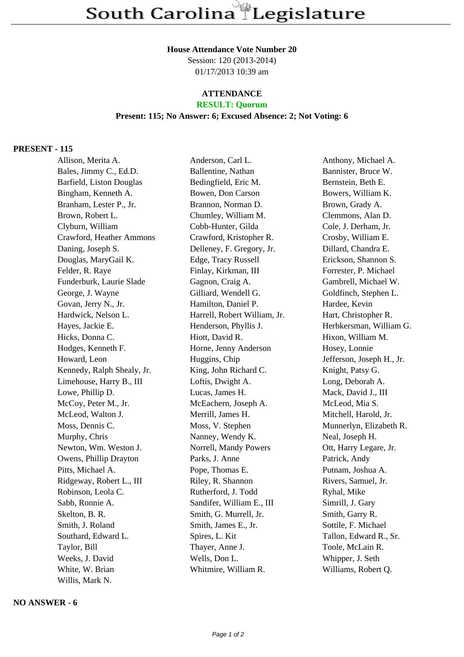South Carolina Legislature

## **House Attendance Vote Number 20**

Session: 120 (2013-2014) 01/17/2013 10:39 am

# **ATTENDANCE**

#### **RESULT: Quorum Present: 115; No Answer: 6; Excused Absence: 2; Not Voting: 6**

### **PRESENT - 115**

Allison, Merita A. Anderson, Carl L. Anthony, Michael A. Bales, Jimmy C., Ed.D. Ballentine, Nathan Bannister, Bruce W. Barfield, Liston Douglas Bedingfield, Eric M. Bernstein, Beth E. Bingham, Kenneth A. Bowen, Don Carson Bowers, William K. Branham, Lester P., Jr. Brannon, Norman D. Brown, Grady A. Brown, Robert L. Chumley, William M. Clemmons, Alan D. Clyburn, William Cobb-Hunter, Gilda Cole, J. Derham, Jr. Crawford, Heather Ammons Crawford, Kristopher R. Crosby, William E. Daning, Joseph S. Delleney, F. Gregory, Jr. Dillard, Chandra E. Douglas, MaryGail K. Edge, Tracy Russell Erickson, Shannon S. Felder, R. Raye Finlay, Kirkman, III Forrester, P. Michael Funderburk, Laurie Slade Gagnon, Craig A. Gambrell, Michael W. George, J. Wayne Gilliard, Wendell G. Goldfinch, Stephen L. Govan, Jerry N., Jr. **Hamilton, Daniel P.** Hardee, Kevin Hardwick, Nelson L. Harrell, Robert William, Jr. Hart, Christopher R. Hayes, Jackie E. **Henderson, Phyllis J.** Herbkersman, William G. Hicks, Donna C. Hiott, David R. Hixon, William M. Hodges, Kenneth F. Horne, Jenny Anderson Hosey, Lonnie Howard, Leon Huggins, Chip Jefferson, Joseph H., Jr. Kennedy, Ralph Shealy, Jr. King, John Richard C. Knight, Patsy G. Limehouse, Harry B., III Loftis, Dwight A. Long, Deborah A. Lowe, Phillip D. Lucas, James H. Mack, David J., III McCoy, Peter M., Jr. McEachern, Joseph A. McLeod, Mia S. McLeod, Walton J. Merrill, James H. Mitchell, Harold, Jr. Moss, Dennis C. Moss, V. Stephen Munnerlyn, Elizabeth R. Murphy, Chris Nanney, Wendy K. Neal, Joseph H. Newton, Wm. Weston J. Norrell, Mandy Powers Ott, Harry Legare, Jr. Owens, Phillip Drayton Parks, J. Anne Patrick, Andy Pitts, Michael A. Pope, Thomas E. Putnam, Joshua A. Ridgeway, Robert L., III Riley, R. Shannon Rivers, Samuel, Jr. Robinson, Leola C. **Rutherford, J. Todd** Ryhal, Mike Sabb, Ronnie A. Sandifer, William E., III Simrill, J. Gary Skelton, B. R. Smith, G. Murrell, Jr. Smith, Garry R. Smith, J. Roland Smith, James E., Jr. Sottile, F. Michael Southard, Edward L. Spires, L. Kit Tallon, Edward R., Sr. Taylor, Bill Thayer, Anne J. Toole, McLain R. Weeks, J. David Wells, Don L. Whipper, J. Seth White, W. Brian Whitmire, William R. Williams, Robert O. Willis, Mark N.

## **NO ANSWER - 6**